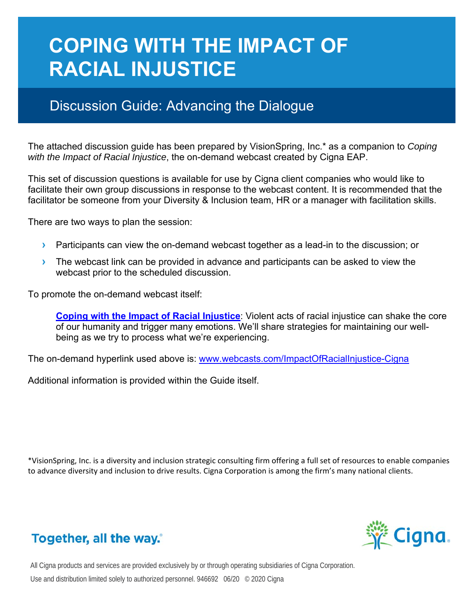# **COPING WITH THE IMPACT OF RACIAL INJUSTICE**

## Discussion Guide: Advancing the Dialogue

The attached discussion guide has been prepared by VisionSpring, Inc.\* as a companion to *Coping with the Impact of Racial Injustice*, the on-demand webcast created by Cigna EAP.

This set of discussion questions is available for use by Cigna client companies who would like to facilitate their own group discussions in response to the webcast content. It is recommended that the facilitator be someone from your Diversity & Inclusion team, HR or a manager with facilitation skills.

There are two ways to plan the session:

- **›** Participants can view the on-demand webcast together as a lead-in to the discussion; or
- **›** The webcast link can be provided in advance and participants can be asked to view the webcast prior to the scheduled discussion.

To promote the on-demand webcast itself:

**Coping with the Impact of Racial Injustice**: Violent acts of racial injustice can shake the core of our humanity and trigger many emotions. We'll share strategies for maintaining our wellbeing as we try to process what we're experiencing.

The on-demand hyperlink used above is: www.webcasts.com/ImpactOfRacialInjustice-Cigna

Additional information is provided within the Guide itself.

\*VisionSpring, Inc. is a diversity and inclusion strategic consulting firm offering a full set of resources to enable companies to advance diversity and inclusion to drive results. Cigna Corporation is among the firm's many national clients.



## Together, all the way.

All Cigna products and services are provided exclusively by or through operating subsidiaries of Cigna Corporation. Use and distribution limited solely to authorized personnel. 946692 06/20 © 2020 Cigna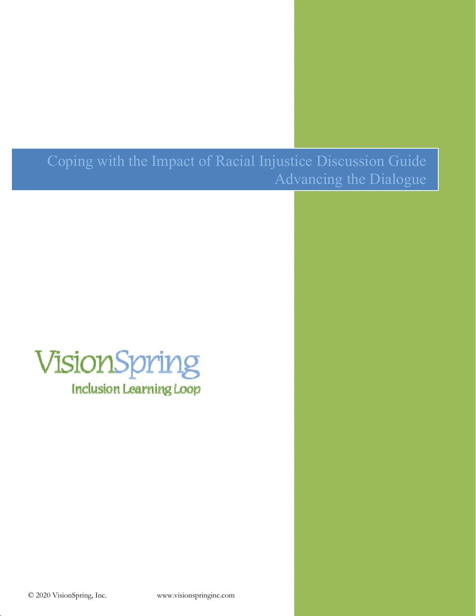Coping with the Impact of Racial Injustice Discussion Guide Advancing the Dialogue

# VisionSpring **Inclusion Learning Loop**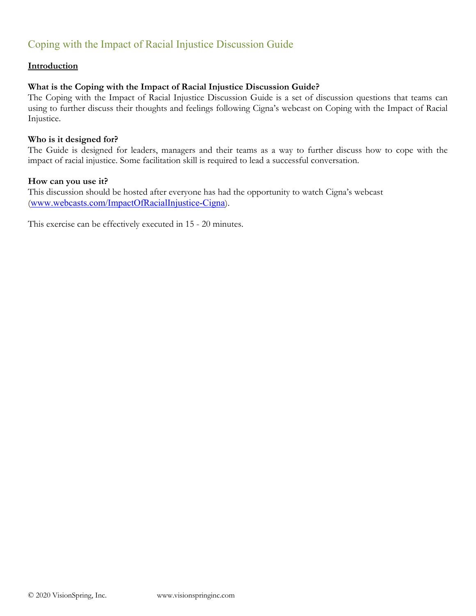### Coping with the Impact of Racial Injustice Discussion Guide

#### **Introduction**

#### **What is the Coping with the Impact of Racial Injustice Discussion Guide?**

The Coping with the Impact of Racial Injustice Discussion Guide is a set of discussion questions that teams can using to further discuss their thoughts and feelings following Cigna's webcast on Coping with the Impact of Racial Injustice.

#### **Who is it designed for?**

The Guide is designed for leaders, managers and their teams as a way to further discuss how to cope with the impact of racial injustice. Some facilitation skill is required to lead a successful conversation.

#### **How can you use it?**

This discussion should be hosted after everyone has had the opportunity to watch Cigna's webcast (www.webcasts.com/ImpactOfRacialInjustice-Cigna).

This exercise can be effectively executed in 15 - 20 minutes.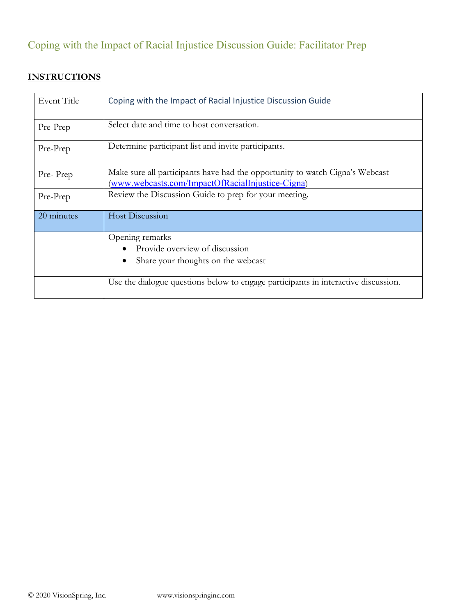## Coping with the Impact of Racial Injustice Discussion Guide: Facilitator Prep

### **INSTRUCTIONS**

| Event Title | Coping with the Impact of Racial Injustice Discussion Guide                                                                      |
|-------------|----------------------------------------------------------------------------------------------------------------------------------|
| Pre-Prep    | Select date and time to host conversation.                                                                                       |
| Pre-Prep    | Determine participant list and invite participants.                                                                              |
| Pre-Prep    | Make sure all participants have had the opportunity to watch Cigna's Webcast<br>(www.webcasts.com/ImpactOfRacialInjustice-Cigna) |
| Pre-Prep    | Review the Discussion Guide to prep for your meeting.                                                                            |
| 20 minutes  | <b>Host Discussion</b>                                                                                                           |
|             | Opening remarks                                                                                                                  |
|             | Provide overview of discussion                                                                                                   |
|             | Share your thoughts on the webcast<br>$\bullet$                                                                                  |
|             | Use the dialogue questions below to engage participants in interactive discussion.                                               |